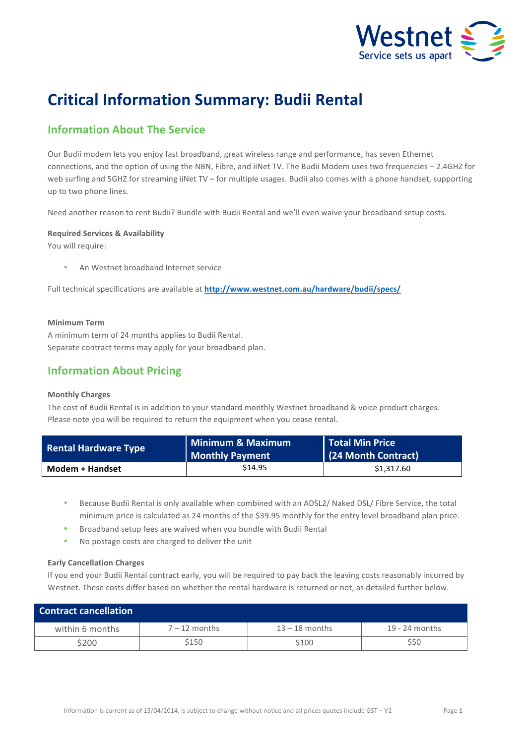

# **Critical Information Summary: Budii Rental**

# **Information About The Service**

Our Budii modem lets you enjoy fast broadband, great wireless range and performance, has seven Ethernet connections, and the option of using the NBN, Fibre, and iiNet TV. The Budii Modem uses two frequencies - 2.4GHZ for web surfing and 5GHZ for streaming iiNet TV – for multiple usages. Budii also comes with a phone handset, supporting up to two phone lines.

Need another reason to rent Budii? Bundle with Budii Rental and we'll even waive your broadband setup costs.

### **Required Services & Availability**

You will require:

An Westnet broadband Internet service

Full technical specifications are available at http://www.westnet.com.au/hardware/budii/specs/

## **Minimum Term**

A minimum term of 24 months applies to Budii Rental. Separate contract terms may apply for your broadband plan.

## **Information About Pricing**

### **Monthly Charges**

The cost of Budii Rental is in addition to your standard monthly Westnet broadband & voice product charges. Please note you will be required to return the equipment when you cease rental.

| <b>Rental Hardware Type</b> | Minimum & Maximum<br>  Monthly Payment | Total Min Price<br>(24 Month Contract) |
|-----------------------------|----------------------------------------|----------------------------------------|
| <b>Modem + Handset</b>      | \$14.95                                | \$1,317.60                             |

- Because Budii Rental is only available when combined with an ADSL2/ Naked DSL/ Fibre Service, the total minimum price is calculated as 24 months of the \$39.95 monthly for the entry level broadband plan price.
- Broadband setup fees are waived when you bundle with Budii Rental
- No postage costs are charged to deliver the unit

### **Early Cancellation Charges**

If you end your Budii Rental contract early, you will be required to pay back the leaving costs reasonably incurred by Westnet. These costs differ based on whether the rental hardware is returned or not, as detailed further below.

| <b>Contract cancellation</b> |                 |                  |                  |
|------------------------------|-----------------|------------------|------------------|
| within 6 months              | $7 - 12$ months | $13 - 18$ months | $19 - 24$ months |
| \$200                        | \$150           | \$100            | S50              |